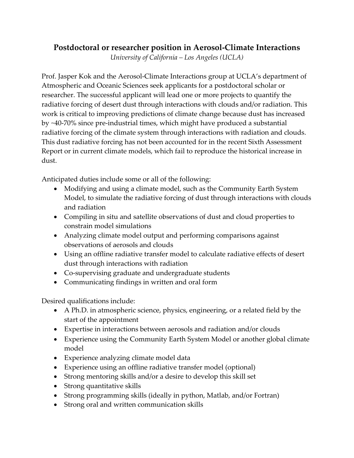## **Postdoctoral or researcher position in Aerosol-Climate Interactions**

*University of California – Los Angeles (UCLA)*

Prof. Jasper Kok and the Aerosol-Climate Interactions group at UCLA's department of Atmospheric and Oceanic Sciences seek applicants for a postdoctoral scholar or researcher. The successful applicant will lead one or more projects to quantify the radiative forcing of desert dust through interactions with clouds and/or radiation. This work is critical to improving predictions of climate change because dust has increased by ~40-70% since pre-industrial times, which might have produced a substantial radiative forcing of the climate system through interactions with radiation and clouds. This dust radiative forcing has not been accounted for in the recent Sixth Assessment Report or in current climate models, which fail to reproduce the historical increase in dust.

Anticipated duties include some or all of the following:

- Modifying and using a climate model, such as the Community Earth System Model, to simulate the radiative forcing of dust through interactions with clouds and radiation
- Compiling in situ and satellite observations of dust and cloud properties to constrain model simulations
- Analyzing climate model output and performing comparisons against observations of aerosols and clouds
- Using an offline radiative transfer model to calculate radiative effects of desert dust through interactions with radiation
- Co-supervising graduate and undergraduate students
- Communicating findings in written and oral form

Desired qualifications include:

- A Ph.D. in atmospheric science, physics, engineering, or a related field by the start of the appointment
- Expertise in interactions between aerosols and radiation and/or clouds
- Experience using the Community Earth System Model or another global climate model
- Experience analyzing climate model data
- Experience using an offline radiative transfer model (optional)
- Strong mentoring skills and/or a desire to develop this skill set
- Strong quantitative skills
- Strong programming skills (ideally in python, Matlab, and/or Fortran)
- Strong oral and written communication skills